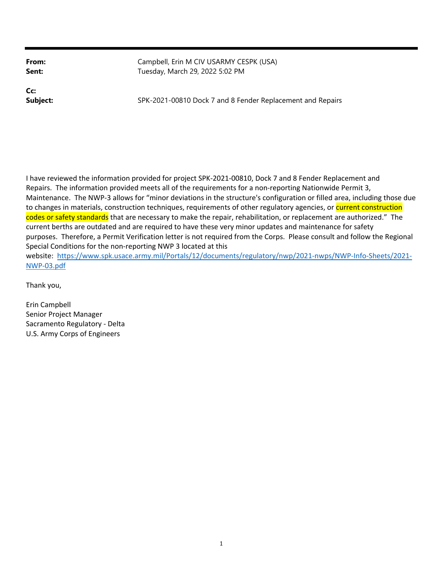**From: Sent:**

Campbell, Erin M CIV USARMY CESPK (USA) Tuesday, March 29, 2022 5:02 PM

**Cc: Subject:**

SPK-2021-00810 Dock 7 and 8 Fender Replacement and Repairs

I have reviewed the information provided for project SPK‐2021‐00810, Dock 7 and 8 Fender Replacement and Repairs. The information provided meets all of the requirements for a non-reporting Nationwide Permit 3, Maintenance. The NWP‐3 allows for "minor deviations in the structure's configuration or filled area, including those due to changes in materials, construction techniques, requirements of other regulatory agencies, or current construction codes or safety standards that are necessary to make the repair, rehabilitation, or replacement are authorized." The current berths are outdated and are required to have these very minor updates and maintenance for safety purposes. Therefore, a Permit Verification letter is not required from the Corps. Please consult and follow the Regional Special Conditions for the non‐reporting NWP 3 located at this website: https://www.spk.usace.army.mil/Portals/12/documents/regulatory/nwp/2021-nwps/NWP-Info-Sheets/2021-NWP‐03.pdf

Thank you,

Erin Campbell Senior Project Manager Sacramento Regulatory ‐ Delta U.S. Army Corps of Engineers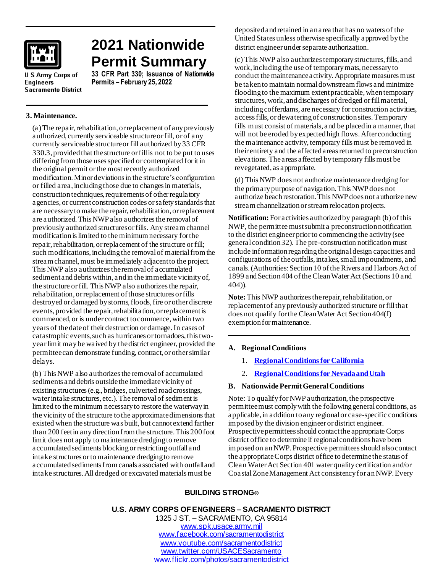

**U S Army Corps of Engineers Sacramento District** 

# **2021 Nationwide Permit Summary**

**33 CFR Part 330; Issuance of Nationwide Permits – February 25, 2022**

# **3. Maintenance.**

(a) The repair, rehabilitation, or replacement of any previously authorized, currently serviceable structure or fill, or of any currently serviceable structure or fill authorized by 33 CFR 330.3, provided that the structure or fill is not to be put to uses differing from those uses specified or contemplated for it in the original permit or the most recently authorized modification. Minor deviations in the structure's configuration or filled area, including those due to changes in materials, construction techniques, requirements of other regulatory agencies, or current construction codes or safety standards that are necessary to make the repair, rehabilitation, or replacement are authorized. This NWP also authorizes the removal of previously authorized structures or fills. Any stream channel modification is limited to the minimum necessary for the repair, rehabilitation, or replacement of the structure or fill; such modifications, including the removal of material from the stream channel, must be immediately adjacent to the project. This NWP also authorizes the removal of accumulated sediment and debris within, and in the immediate vicinity of, the structure or fill. This NWP also authorizes the repair, rehabilitation, or replacement of those structures or fills destroyed or damaged by storms, floods, fire or other discrete events, provided the repair, rehabilitation, or replacement is commenced, or is under contract to commence, within two years of the date of their destruction or damage. In cases of catastrophic events, such as hurricanes or tornadoes, this twoyear limit may be waived by the district engineer, provided the permittee can demonstrate funding, contract, or other similar delays.

(b) This NWP also authorizes the removal of accumulated sediments and debris outside the immediate vicinity of existing structures (e.g., bridges, culverted road crossings, water intake structures, etc.). The removal of sediment is limited to the minimum necessary to restore the waterway in the vicinity of the structure to the approximate dimensions that existed when the structure was built, but cannot extend farther than 200 feet in any direction from the structure. This 200 foot limit does not apply to maintenance dredging to remove accumulated sediments blocking or restricting outfall and intake structures or to maintenance dredging to remove accumulated sediments from canals associated with outfall and intake structures. All dredged or excavated materials must be

deposited and retained in an area that has no waters of the United States unless otherwise specifically approved by the district engineer under separate authorization.

(c) This NWP also authorizes temporary structures, fills, and work, including the use of temporary mats, necessary to conduct the maintenance activity. Appropriate measures must be taken to maintain normal downstream flows and minimize flooding to the maximum extent practicable, when temporary structures, work, and discharges of dredged or fill material, including cofferdams, are necessary for construction activities, access fills, or dewatering of construction sites. Temporary fills must consist of materials, and be placed in a manner, that will not be eroded by expected high flows. After conducting the maintenance activity, temporary fills must be removed in their entirety and the affected areas returned to preconstruction elevations. The areas affected by temporary fills must be revegetated, as appropriate.

(d) This NWP does not authorize maintenance dredging for the primary purpose of navigation. This NWP does not authorize beach restoration. This NWP does not authorize new stream channelization or stream relocation projects.

**Notification:** For activities authorized by paragraph (b) of this NWP, the permittee must submit a preconstruction notification to the district engineer prior to commencing the activity (see general condition 32). The pre-construction notification must include information regarding the original design capacities and configurations of the outfalls, intakes, small impoundments, and canals. (Authorities: Section 10 of the Rivers and Harbors Act of 1899 and Section 404 of the Clean Water Act (Sections 10 and 404)).

**Note:**This NWP authorizes the repair, rehabilitation, or replacement of any previously authorized structure or fill that does not qualify for the Clean Water Act Section 404(f) exemption for maintenance.

# **A. Regional Conditions**

- 1. **[Regional Conditions for California](https://www.spk.usace.army.mil/Portals/12/documents/regulatory/nwp/2021-nwps/2022.02.25-Final-All-NWP-RCs-CA-SPK-Only.pdf)**
- 2. **[Regional Conditions for Nevada and Utah](https://www.spk.usace.army.mil/Portals/12/documents/regulatory/nwp/2021-nwps/2022.02.25-Final-All-NWP-RCs-UT-NV.pdf)**

# **B. Nationwide Permit General Conditions**

Note: To qualify for NWP authorization, the prospective permittee must comply with the following general conditions, as applicable, in addition to any regional or case-specific conditions imposed by the division engineer or district engineer. Prospective permittees should contact the appropriate Corps district office to determine if regional conditions have been imposed on an NWP. Prospective permittees should also contact the appropriate Corps district office to determine the status of Clean Water Act Section 401 water quality certification and/or Coastal Zone Management Act consistency for an NWP. Every

# **BUILDING STRONG®**

# **U.S. ARMY CORPS OF ENGINEERS – SACRAMENTO DISTRICT**

1325 J ST. – SACRAMENTO, CA 95814 [www.spk.usace.army.mil](http://www.spk.usace.army.mil/) [www.facebook.com/sacramentodistrict](http://www.facebook.com/sacramentodistrict) [www.youtube.com/sacramentodistrict](http://www.youtube.com/sacramentodistrict) [www.twitter.com/USACESacramento](http://www.twitter.com/USACESacramento) [www.flickr.com/photos/sacramentodistrict](http://www.flickr.com/photos/sacramentodistrict)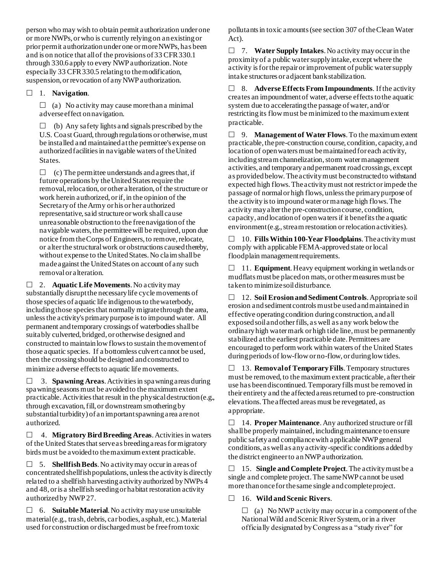person who may wish to obtain permit authorization under one or more NWPs, or who is currently relying on an existing or prior permit authorization under one or more NWPs, has been and is on notice that all of the provisions of 33 CFR 330.1 through 330.6 apply to every NWP authorization. Note especially 33 CFR 330.5 relating to the modification, suspension, or revocation of any NWP authorization.

#### 1. **Navigation**.

 $\Box$  (a) No activity may cause more than a minimal adverse effect on navigation.

 $\Box$  (b) Any safety lights and signals prescribed by the U.S. Coast Guard, through regulations or otherwise, must be installed and maintained at the permittee's expense on authorized facilities in navigable waters of the United States.

 $\Box$  (c) The permittee understands and a grees that, if future operations by the United States require the removal, relocation, or other alteration, of the structure or work herein authorized, or if, in the opinion of the Secretary of the Army or his or her authorized representative, said structure or work shall cause unreasonable obstruction to the free navigation of the navigable waters, the permittee will be required, upon due notice from the Corps of Engineers, to remove, relocate, or alter the structural work or obstructions caused thereby, without expense to the United States. No claim shall be made against the United States on account of any such removal or alteration.

 $\Box$  2. **Aquatic Life Movements**. No activity may substantially disrupt the necessary life cycle movements of those species of aquatic life indigenous to the waterbody, including those species that normally migrate through the area, unless the activity's primary purpose is to impound water. All permanent and temporary crossings of waterbodies shall be suitably culverted, bridged, or otherwise designed and constructed to maintain low flows to sustain the movement of those aquatic species. If a bottomless culvert cannot be used, then the crossing should be designed and constructed to minimize adverse effects to aquatic life movements.

 3. **Spawning Areas**. Activities in spawning areas during spawning seasons must be avoided to the maximum extent practicable. Activities that result in the physical destruction (e.g., through excavation, fill, or downstream smothering by substantial turbidity) of an important spawning area are not authorized.

 4. **Migratory Bird Breeding Areas**.Activities in waters of the United States that serve as breeding areas for migratory birds must be avoided to the maximum extent practicable.

 5. **Shellfish Beds**. No activity may occur in areas of concentrated shellfish populations, unless the activity is directly related to a shellfish harvesting activity authorized by NWPs 4 and 48, or is a shellfish seeding or habitat restoration activity authorized by NWP 27.

 6. **Suitable Material**. No activity may use unsuitable material (e.g., trash, debris, car bodies, asphalt, etc.). Material used for construction or discharged must be free from toxic

pollutants in toxic amounts (see section 307 of the Clean Water Act).

 7. **Water Supply Intakes**. No activity may occur in the proximity of a public water supply intake, except where the activity is for the repair or improvement of public water supply intake structures or adjacent bank stabilization.

 8. **Adverse Effects From Impoundments**. If the activity creates an impoundment of water, adverse effects to the aquatic system due to accelerating the passage of water, and/or restricting its flow must be minimized to the maximum extent practicable.

 9. **Management of Water Flows**. To the maximum extent practicable, the pre-construction course, condition, capacity, and location of open waters must be maintained for each activity, including stream channelization, storm water management activities, and temporary and permanent road crossings, except as provided below. The activity must be constructed to withstand expected high flows. The activity must not restrict or impede the passage of normal or high flows, unless the primary purpose of the activity is to impound water or manage high flows. The activity may alter the pre-construction course, condition, capacity, and location of open waters if it benefits the aquatic environment (e.g., stream restoration or relocation activities).

 10. **Fills Within 100-Year Floodplains**. The activity must comply with applicable FEMA-approved state or local floodplain management requirements.

 $\Box$  11. **Equipment**. Heavy equipment working in wetlands or mudflats must be placed on mats, or other measures must be taken to minimize soil disturbance.

 12. **Soil Erosion and Sediment Controls**. Appropriate soil erosion and sediment controls must be used and maintained in effective operating condition during construction, and all exposed soil and other fills, as well as any work below the ordinary high water mark or high tide line, must be permanently stabilized at the earliest practicable date. Permittees are encouraged to perform work within waters of the United States during periods of low-flow or no-flow, or during low tides.

 13. **Removal of Temporary Fills**. Temporary structures must be removed, to the maximum extent practicable, after their use has been discontinued. Temporary fills must be removed in their entirety and the affected areas returned to pre-construction elevations. The affected areas must be revegetated, as appropriate.

 14. **Proper Maintenance**. Any authorized structure or fill shall be properly maintained, including maintenance to ensure public safety and compliance with applicable NWP general conditions, as well as any activity-specific conditions added by the district engineer to an NWP authorization.

 15. **Single and Complete Project**. The activity must be a single and complete project. The same NWP cannot be used more than once for the same single and complete project.

#### 16. **Wild and Scenic Rivers**.

 $\Box$  (a) No NWP activity may occur in a component of the National Wild and Scenic River System, or in a river officially designated by Congress as a "study river" for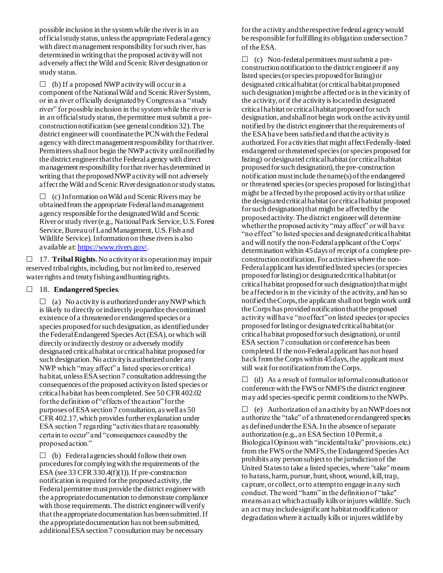possible inclusion in the system while the river is in an official study status, unless the appropriate Federal agency with direct management responsibility for such river, has determined in writing that the proposed activity will not adversely affect the Wild and Scenic River designation or study status.

 $\Box$  (b) If a proposed NWP activity will occur in a component of the National Wild and Scenic River System, or in a river officially designated by Congress as a "study river" for possible inclusion in the system while the river is in an official study status, the permittee must submit a preconstruction notification (see general condition 32). The district engineer will coordinate the PCN with the Federal agency with direct management responsibility for that river. Permittees shall not begin the NWP activity until notified by the district engineer that the Federal agency with direct management responsibility for that river has determined in writing that the proposed NWP activity will not adversely affect the Wild and Scenic River designation or study status.

 $\Box$  (c) Information on Wild and Scenic Rivers may be obtained from the appropriate Federal land management agency responsible for the designated Wild and Scenic River or study river (e.g., National Park Service, U.S. Forest Service, Bureau of Land Management, U.S. Fish and Wildlife Service). Information on these rivers is also available at[: https://www.rivers.gov/](https://www.rivers.gov/).

 $\Box$  17. **Tribal Rights**. No activity or its operation may impair reserved tribal rights, including, but not limited to, reserved water rights and treaty fishing and hunting rights.

#### 18. **Endangered Species**.

 $\Box$  (a) No activity is authorized under any NWP which is likely to directly or indirectly jeopardize the continued existence of a threatened or endangered species or a species proposed for such designation, as identified under the Federal Endangered Species Act (ESA), or which will directly or indirectly destroy or adversely modify designated critical habitat or critical habitat proposed for such designation. No activity is authorized under any NWP which "may affect" a listed species or critical habitat, unless ESA section 7 consultation addressing the consequences of the proposed activity on listed species or critical habitat has been completed. See 50 CFR 402.02 for the definition of "effects of the action" for the purposes of ESA section 7 consultation, as well as 50 CFR 402.17, which provides further explanation under ESA section 7 regarding "activities that are reasonably certain to occur" and "consequences caused by the proposed action."

 $\Box$  (b) Federal agencies should follow their own procedures for complying with the requirements of the ESA (see 33 CFR 330.4(f)(1)). If pre-construction notification is required for the proposed activity, the Federal permittee must provide the district engineer with the appropriate documentation to demonstrate compliance with those requirements. The district engineer will verify that the appropriate documentation has been submitted. If the appropriate documentation has not been submitted, additional ESA section 7 consultation may be necessary

for the activity and the respective federal agency would be responsible for fulfilling its obligation under section 7 of the ESA.

 $\Box$  (c) Non-federal permittees must submit a preconstruction notification to the district engineer if any listed species (or species proposed for listing) or designated critical habitat (or critical habitat proposed such designation) might be affected or is in the vicinity of the activity, or if the activity is located in designated critical habitat or critical habitat proposed for such designation, and shall not begin work on the activity until notified by the district engineer that the requirements of the ESA have been satisfied and that the activity is authorized. For activities that might affect Federally-listed endangered or threatened species (or species proposed for listing) or designated critical habitat (or critical habitat proposed for such designation), the pre-construction notification must include the name(s) of the endangered or threatened species (orspecies proposed for listing) that might be affected by the proposed activity or that utilize the designated critical habitat (or critical habitat proposed for such designation) that might be affected by the proposed activity. The district engineer will determine whether the proposed activity "may affect" or will have "no effect" to listed species and designated critical habitat and will notify the non-Federal applicant of the Corps' determination within 45 days of receipt of a complete preconstruction notification. For activities where the non-Federal applicant has identified listed species (or species proposed for listing) or designated critical habitat (or critical habitat proposed for such designation) that might be affected or is in the vicinity of the activity, and has so notified the Corps, the applicant shall not begin work until the Corps has provided notification that the proposed activity will have "no effect" on listed species (or species proposed for listing or designated critical habitat (or critical habitat proposed for such designation), or until ESA section 7 consultation or conference has been completed. If the non-Federal applicant has not heard back from the Corps within 45 days, the applicant must still wait for notification from the Corps.

 $\Box$  (d) As a result of formal or informal consultation or conference with the FWS or NMFS the district engineer may add species-specific permit conditions to the NWPs.

 $\Box$  (e) Authorization of an activity by an NWP does not authorize the "take" of a threatened or endangered species as defined under the ESA. In the absence of separate authorization (e.g., an ESA Section 10 Permit, a Biological Opinion with "incidental take" provisions, etc.) from the FWS or the NMFS, the Endangered Species Act prohibits any person subject to the jurisdiction of the United States to take a listed species, where "take" means to harass, harm, pursue, hunt, shoot, wound, kill, trap, capture, or collect, or to attempt to engage in any such conduct. The word "harm" in the definition of "take'' means an act which actually kills or injures wildlife. Such an act may include significant habitat modification or degradation where it actually kills or injures wildlife by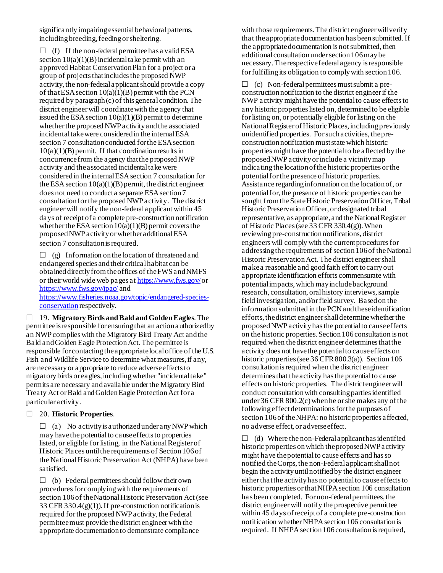significantly impairing essential behavioral patterns, including breeding, feeding or sheltering.

 $\Box$  (f) If the non-federal permittee has a valid ESA section  $10(a)(1)(B)$  incidental take permit with an approved Habitat Conservation Plan for a project or a group of projects that includes the proposed NWP activity, the non-federal applicant should provide a copy of that ESA section  $10(a)(1)(B)$  permit with the PCN required by paragraph (c) of this general condition. The district engineer will coordinate with the agency that issued the ESA section  $10(a)(1)(B)$  permit to determine whether the proposed NWP activity and the associated incidental take were considered in the internal ESA section 7 consultation conducted for the ESA section  $10(a)(1)(B)$  permit. If that coordination results in concurrence from the agency that the proposed NWP activity and the associated incidental take were considered in the internal ESA section 7 consultation for the ESA section  $10(a)(1)(B)$  permit, the district engineer does not need to conduct a separate ESA section 7 consultation for the proposedNWP activity. The district engineer will notify the non-federal applicant within 45 days of receipt of a complete pre-construction notification whether the ESA section  $10(a)(1)(B)$  permit covers the proposed NWP activity or whether additional ESA section 7 consultation is required.

 $\Box$  (g) Information on the location of threatened and endangered species and their critical habitat can be obtained directly from the offices of the FWS and NMFS or their world wide web pages a[t https://www.fws.gov/](https://www.fws.gov/)or <https://www.fws.gov/ipac/> and [https://www.fisheries.noaa.gov/topic/endangered-species](https://www.fisheries.noaa.gov/topic/endangered-species-conservation)[conservation](https://www.fisheries.noaa.gov/topic/endangered-species-conservation) respectively.

 19. **Migratory Birds and Bald and Golden Eagles**. The permittee is responsible for ensuring that an action authorized by an NWP complies with the Migratory Bird Treaty Act and the Bald and Golden Eagle Protection Act. The permittee is responsible for contacting the appropriate local office of the U.S. Fish and Wildlife Service to determine what measures, if any, are necessary or appropriate to reduce adverse effects to migratory birds or eagles, including whether "incidental take" permits are necessary and available under the Migratory Bird Treaty Act or Bald and Golden Eagle Protection Act for a particular activity.

#### 20. **Historic Properties**.

 $\Box$  (a) No activity is authorized under any NWP which may have the potential to cause effects to properties listed, or eligible for listing, in the National Register of Historic Places until the requirements of Section 106 of the National Historic Preservation Act (NHPA) have been satisfied.

 $\Box$  (b) Federal permittees should follow their own procedures for complying with the requirements of section 106 of the National Historic Preservation Act (see 33 CFR 330.4(g)(1)). If pre-construction notification is required for the proposed NWP activity, the Federal permittee must provide the district engineer with the appropriate documentation to demonstrate compliance

with those requirements. The district engineer will verify that the appropriate documentation has been submitted. If the appropriate documentation is not submitted, then additional consultation under section 106 may be necessary. The respective federal agency is responsible for fulfilling its obligation to comply with section 106.

 $\Box$  (c) Non-federal permittees must submit a preconstruction notification to the district engineer if the NWP activity might have the potential to cause effects to any historic properties listed on, determined to be eligible for listing on, or potentially eligible for listing on the National Register of Historic Places, including previously unidentified properties. For such activities, the preconstruction notification must state which historic properties might have the potential to be affected by the proposed NWP activity or include a vicinity map indicating the location of the historic properties or the potential for the presence of historic properties. Assistance regarding information on the location of, or potential for, the presence of historic properties can be sought from the State Historic Preservation Officer, Tribal Historic Preservation Officer, or designated tribal representative, as appropriate, and the National Register of Historic Places (see 33 CFR 330.4(g)). When reviewing pre-construction notifications, district engineers will comply with the current procedures for addressing the requirements of section 106 of the National Historic Preservation Act. The district engineer shall make a reasonable and good faith effort to carry out appropriate identification efforts commensurate with potential impacts, which may include background research, consultation, oral history interviews, sample field investigation, and/or field survey. Based on the information submitted in the PCN and these identification efforts, the district engineer shall determine whether the proposed NWP activity has the potential to cause effects on the historic properties. Section 106 consultation is not required when the district engineer determines that the activity does not have the potential to cause effects on historic properties (see 36 CFR 800.3(a)). Section 106 consultation is required when the district engineer determines that the activity has the potential to cause effects on historic properties. The district engineer will conduct consultation with consulting parties identified under 36 CFR 800.2(c) when he or she makes any of the following effect determinations for the purposes of section 106 of the NHPA: no historic properties affected, no adverse effect, or adverse effect.

 $\Box$  (d) Where the non-Federal applicant has identified historic properties on which the proposed NWP activity might have the potential to cause effects and has so notified the Corps, the non-Federal applicant shall not begin the activity until notified by the district engineer either that the activity has no potential to cause effects to historic properties or that NHPA section 106 consultation has been completed. For non-federal permittees, the district engineer will notify the prospective permittee within 45 days of receipt of a complete pre-construction notification whether NHPA section 106 consultation is required. If NHPA section 106 consultation is required,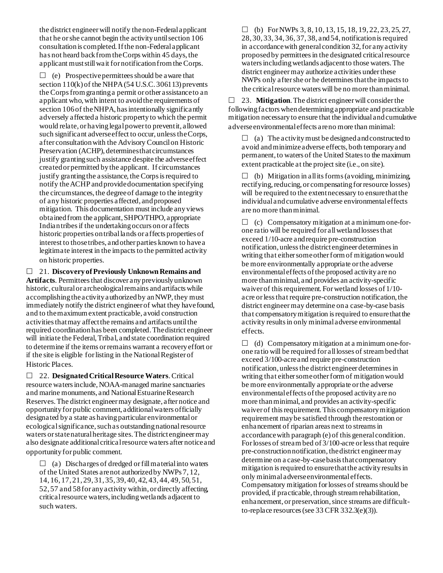the district engineer will notify the non-Federal applicant that he or she cannot begin the activity until section 106 consultation is completed. If the non-Federal applicant has not heard back from the Corps within 45 days, the applicant must still wait for notification from the Corps.

 $\Box$  (e) Prospective permittees should be aware that section 110(k) of the NHPA (54 U.S.C. 306113) prevents the Corps from granting a permit or other assistance to an applicant who, with intent to avoid the requirements of section 106 of the NHPA, has intentionally significantly adversely affected a historic property to which the permit would relate, or having legal power to prevent it, allowed such significant adverse effect to occur, unless the Corps, after consultation with the Advisory Council on Historic Preservation (ACHP), determines that circumstances justify granting such assistance despite the adverse effect created or permitted by the applicant. If circumstances justify granting the assistance, the Corps is required to notify the ACHP and provide documentation specifying the circumstances, the degree of damage to the integrity of any historic properties affected, and proposed mitigation. This documentation must include any views obtained from the applicant, SHPO/THPO, appropriate Indian tribes if the undertaking occurs on or affects historic properties on tribal lands or affects properties of interest to those tribes, and other parties known to have a legitimate interest in the impacts to the permitted activity on historic properties.

21. **Discovery of Previously Unknown Remains and** 

**Artifacts**. Permittees that discover any previously unknown historic, cultural or archeological remains and artifacts while accomplishing the activity authorized by an NWP, they must immediately notify the district engineer of what they have found, and to the maximum extent practicable, avoid construction activities that may affect the remains and artifacts until the required coordination has been completed. The district engineer will initiate the Federal, Tribal, and state coordination required to determine if the items or remains warrant a recovery effort or if the site is eligible for listing in the National Register of Historic Places.

 22. **Designated Critical Resource Waters**. Critical resource waters include, NOAA-managed marine sanctuaries and marine monuments, and National Estuarine Research Reserves. The district engineer may designate, after notice and opportunity for public comment, additional waters officially designated by a state as having particular environmental or ecological significance, such as outstanding national resource waters or state natural heritage sites. The district engineer may also designate additional critical resource waters after notice and opportunity for public comment.

 $\Box$  (a) Discharges of dredged or fill material into waters of the United States are not authorized by NWPs 7, 12, 14, 16, 17, 21, 29, 31, 35, 39, 40, 42, 43, 44, 49, 50, 51, 52, 57 and 58 for any activity within, or directly affecting, critical resource waters, including wetlands adjacent to such waters.

 $\Box$  (b) For NWPs 3, 8, 10, 13, 15, 18, 19, 22, 23, 25, 27, 28, 30, 33, 34, 36, 37, 38, and 54, notification is required in accordance with general condition 32, for any activity proposed by permittees in the designated critical resource waters including wetlands adjacent to those waters. The district engineer may authorize activities under these NWPs only after she or he determines that the impacts to the critical resource waters will be no more than minimal.

 23. **Mitigation**.The district engineer will consider the following factors when determining appropriate and practicable mitigation necessary to ensure that the individual and cumulative adverse environmental effects are no more than minimal:

 $\Box$  (a) The activity must be designed and constructed to avoid and minimize adverse effects, both temporary and permanent, to waters of the United States to the maximum extent practicable at the project site (i.e., on site).

 $\Box$  (b) Mitigation in all its forms (avoiding, minimizing, rectifying, reducing, or compensating for resource losses) will be required to the extent necessary to ensure that the individual and cumulative adverse environmental effects are no more than minimal.

 $\Box$  (c) Compensatory mitigation at a minimum one-forone ratio will be required for all wetland losses that exceed 1/10-acre and require pre-construction notification, unless the district engineer determines in writing that either some other form of mitigation would be more environmentally appropriate or the adverse environmental effects of the proposed activity are no more than minimal, and provides an activity-specific waiver of this requirement. For wetland losses of 1/10 acre or less that require pre-construction notification, the district engineer may determine on a case-by-case basis that compensatory mitigation is required to ensure that the activity results in only minimal adverse environmental effects.

 $\Box$  (d) Compensatory mitigation at a minimum one-forone ratio will be required for all losses of stream bed that exceed 3/100-acre and require pre-construction notification, unless the district engineer determines in writing that either some other form of mitigation would be more environmentally appropriate or the adverse environmental effects of the proposed activity are no more than minimal, and provides an activity-specific waiver of this requirement. This compensatory mitigation requirement may be satisfied through the restoration or enhancement of riparian areas next to streams in accordance with paragraph (e) of this general condition. For losses of stream bed of 3/100-acre or less that require pre-construction notification, the district engineer may determine on a case-by-case basis that compensatory mitigation is required to ensure that the activity results in only minimal adverse environmental effects. Compensatory mitigation for losses of streams should be provided, if practicable, through stream rehabilitation, enhancement, or preservation, since streams are difficultto-replace resources (see 33 CFR 332.3(e)(3)).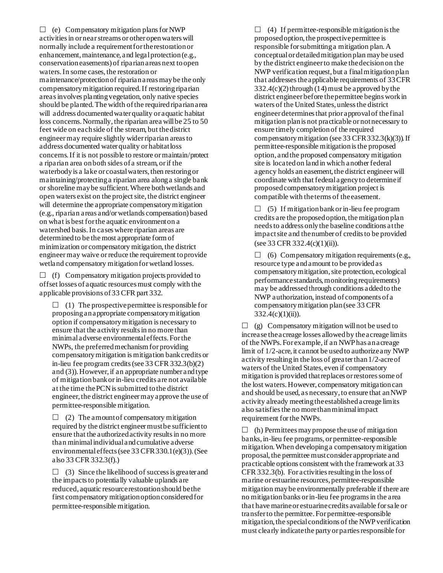$\Box$  (e) Compensatory mitigation plans for NWP activities in or near streams or other open waters will normally include a requirement for the restoration or enhancement, maintenance, and legal protection (e.g., conservation easements) of riparian areas next to open waters. In some cases, the restoration or maintenance/protection of riparian areas may be the only compensatory mitigation required. If restoring riparian areas involves planting vegetation, only native species should be planted. The width of the required riparian area will address documented water quality or aquatic habitat loss concerns. Normally, the riparian area will be 25 to 50 feet wide on each side of the stream, but the district engineer may require slightly wider riparian areas to address documented water quality or habitat loss concerns. If it is not possible to restore or maintain/protect a riparian area on both sides of a stream, or if the waterbody is a lake or coastal waters, then restoring or maintaining/protecting a riparian area along a single bank or shoreline may be sufficient. Where both wetlands and open waters exist on the project site, the district engineer will determine the appropriate compensatory mitigation (e.g., riparian areas and/or wetlands compensation) based on what is best for the aquatic environment on a watershed basis. In cases where riparian areas are determined to be the most appropriate form of minimization or compensatory mitigation, the district engineer may waive or reduce the requirement to provide wetland compensatory mitigation for wetland losses.

 $\Box$  (f) Compensatory mitigation projects provided to offset losses of aquatic resources must comply with the applicable provisions of 33 CFR part 332.

 $\Box$  (1) The prospective permittee is responsible for proposing an appropriate compensatory mitigation option if compensatory mitigation is necessary to ensure that the activity results in no more than minimal adverse environmental effects. For the NWPs, the preferred mechanism for providing compensatory mitigation is mitigation bank credits or in-lieu fee program credits (see 33 CFR 332.3(b)(2) and (3)). However, if an appropriate number and type of mitigation bank or in-lieu credits are not available at the time the PCN is submitted to the district engineer, the district engineer may approve the use of permittee-responsible mitigation.

 $\Box$  (2) The amount of compensatory mitigation required by the district engineer must be sufficient to ensure that the authorized activity results in no more than minimal individual and cumulative adverse environmental effects (see 33 CFR 330.1(e)(3)). (See also 33 CFR 332.3(f).)

 $\Box$  (3) Since the likelihood of success is greater and the impacts to potentially valuable uplands are reduced, aquatic resource restoration should be the first compensatory mitigation option considered for permittee-responsible mitigation.

 $\Box$  (4) If permittee-responsible mitigation is the proposed option, the prospective permittee is responsible for submitting a mitigation plan. A conceptual or detailed mitigation plan may be used by the district engineer to make the decision on the NWP verification request, but a final mitigation plan that addresses the applicable requirements of 33 CFR 332.4(c)(2) through (14) must be approved by the district engineer before the permittee begins work in waters of the United States, unless the district engineer determines that prior approval of the final mitigation plan is not practicable or not necessary to ensure timely completion of the required compensatory mitigation (see 33 CFR 332.3(k)(3)). If permittee-responsible mitigation is the proposed option, and the proposed compensatory mitigation site is located on land in which another federal agency holds an easement, the district engineer will coordinate with that federal agency to determine if proposed compensatory mitigation project is compatible with the terms of the easement.

 $\Box$  (5) If mitigation bank or in-lieu fee program credits are the proposed option, the mitigation plan needs to address only the baseline conditions at the impact site and the number of credits to be provided (see 33 CFR 332.4(c)(1)(ii)).

 $\Box$  (6) Compensatory mitigation requirements (e.g., resource type and amount to be provided as compensatory mitigation, site protection, ecological performance standards, monitoring requirements) may be addressed through conditions added to the NWP authorization, instead of components of a compensatory mitigation plan (see 33 CFR  $332.4(c)(1)(ii)$ ).

 $\Box$  (g) Compensatory mitigation will not be used to increase the acreage losses allowed by the acreage limits of the NWPs. For example, if an NWP has an acreage limit of 1/2-acre, it cannot be used to authorize any NWP activity resulting in the loss of greater than 1/2-acre of waters of the United States, even if compensatory mitigation is provided that replaces or restores some of the lost waters. However, compensatory mitigation can and should be used, as necessary, to ensure that an NWP activity already meeting the established acreage limits also satisfies the no more than minimal impact requirement for the NWPs.

 $\Box$  (h) Permittees may propose the use of mitigation banks, in-lieu fee programs, or permittee-responsible mitigation. When developing a compensatory mitigation proposal, the permittee must consider appropriate and practicable options consistent with the framework at 33 CFR 332.3(b). For activities resulting in the loss of marine or estuarine resources, permittee-responsible mitigation may be environmentally preferable if there are no mitigation banks or in-lieu fee programs in the area that have marine or estuarine credits available for sale or transfer to the permittee. For permittee-responsible mitigation, the special conditions of the NWP verification must clearly indicate the party or parties responsible for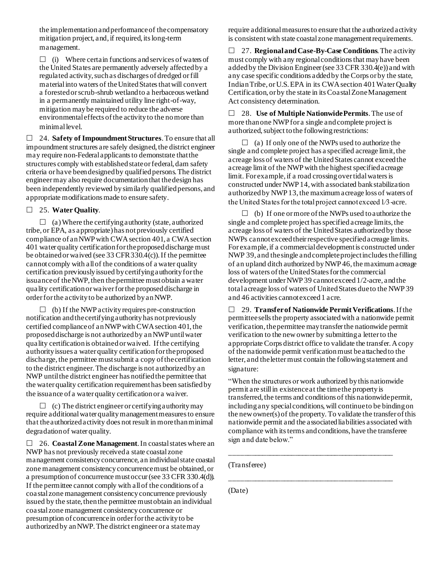the implementation and performance of the compensatory mitigation project, and, if required, its long-term management.

 $\Box$  (i) Where certain functions and services of waters of the United States are permanently adversely affected by a regulated activity, such as discharges of dredged or fill material into waters of the United States that will convert a forested or scrub-shrub wetland to a herbaceous wetland in a permanently maintained utility line right-of-way, mitigation may be required to reduce the adverse environmental effects of the activity to the no more than minimal level.

 24. **Safety of Impoundment Structures**.To ensure that all impoundment structures are safely designed, the district engineer may require non-Federal applicants to demonstrate that the structures comply with established state or federal, dam safety criteria or have been designed by qualified persons. The district engineer may also require documentation that the design has been independently reviewed by similarly qualified persons, and appropriate modifications made to ensure safety.

#### 25. **Water Quality**.

 $\Box$  (a) Where the certifying authority (state, authorized tribe, or EPA, as appropriate) has not previously certified compliance of an NWP with CWA section 401, a CWA section 401 water quality certification for the proposed discharge must be obtained or waived (see 33 CFR 330.4(c)). If the permittee cannot comply with all of the conditions of a water quality certification previously issued by certifying authority for the issuance of the NWP, then the permittee must obtain a water quality certification or waiver for the proposed discharge in order for the activity to be authorized by an NWP.

 $\Box$  (b) If the NWP activity requires pre-construction notification and the certifying authority has not previously certified compliance of an NWP with CWA section 401, the proposed discharge is not authorized by an NWP until water quality certification is obtained or waived. If the certifying authority issues a water quality certification for the proposed discharge, the permittee must submit a copy of the certification to the district engineer. The discharge is not authorized by an NWP until the district engineer has notified the permittee that the water quality certification requirement has been satisfied by the issuance of a water quality certification or a waiver.

 $\Box$  (c) The district engineer or certifying authority may require additional water quality management measures to ensure that the authorized activity does not result in more than minimal degradation of water quality.

 26. **Coastal Zone Management**. In coastal states where an NWP has not previously received a state coastal zone management consistency concurrence, an individual state coastal zone management consistency concurrence must be obtained, or a presumption of concurrence must occur (see 33 CFR 330.4(d)). If the permittee cannot comply with all of the conditions of a coastal zone management consistency concurrence previously issued by the state, then the permittee must obtain an individual coastal zone management consistency concurrence or presumption of concurrence in order for the activity to be authorized by an NWP. The district engineer or a state may

require additional measures to ensure that the authorized activity is consistent with state coastal zone management requirements.

 27. **Regional and Case-By-Case Conditions**. The activity must comply with any regional conditions that may have been added by the Division Engineer (see 33 CFR 330.4(e)) and with any case specific conditions added by the Corps or by the state, Indian Tribe, or U.S. EPA in its CWA section 401 Water Quality Certification, or by the state in its Coastal Zone Management Act consistency determination.

 28. **Use of Multiple Nationwide Permits**. The use of more than one NWP for a single and complete project is authorized, subject to the following restrictions:

 $\Box$  (a) If only one of the NWPs used to authorize the single and complete project has a specified acreage limit, the acreage loss of waters of the United States cannot exceed the acreage limit of the NWP with the highest specified acreage limit. For example, if a road crossing over tidal waters is constructed under NWP 14, with associated bank stabilization authorized by NWP 13, the maximum acreage loss of waters of the United States for the total project cannot exceed 1⁄3-acre.

 $\Box$  (b) If one or more of the NWPs used to authorize the single and complete project has specified acreage limits, the acreage loss of waters of the United States authorized by those NWPs cannot exceed their respective specified acreage limits. For example, if a commercial development is constructed under NWP 39, and the single and complete project includes the filling of an upland ditch authorized by NWP 46, the maximum acreage loss of waters of the United States for the commercial development under NWP 39 cannot exceed 1/2-acre, and the total acreage loss of waters of United States due to the NWP 39 and 46 activities cannot exceed 1 acre.

 29. **Transfer of Nationwide Permit Verifications**. If the permittee sells the property associated with a nationwide permit verification, the permittee may transfer the nationwide permit verification to the new owner by submitting a letter to the appropriate Corps district office to validate the transfer. A copy of the nationwide permit verification must be attached to the letter, and the letter must contain the following statement and signature:

"When the structures or work authorized by this nationwide permit are still in existence at the time the property is transferred, the terms and conditions of this nationwide permit, including any special conditions, will continue to be binding on the new owner(s) of the property. To validate the transfer of this nationwide permit and the associated liabilities associated with compliance with its terms and conditions, have the transferee sign and date below."

\_\_\_\_\_\_\_\_\_\_\_\_\_\_\_\_\_\_\_\_\_\_\_\_\_\_\_\_\_\_\_\_\_\_\_\_\_\_\_\_\_\_\_\_\_

\_\_\_\_\_\_\_\_\_\_\_\_\_\_\_\_\_\_\_\_\_\_\_\_\_\_\_\_\_\_\_\_\_\_\_\_\_\_\_\_\_\_\_\_\_

(Transferee)

(Date)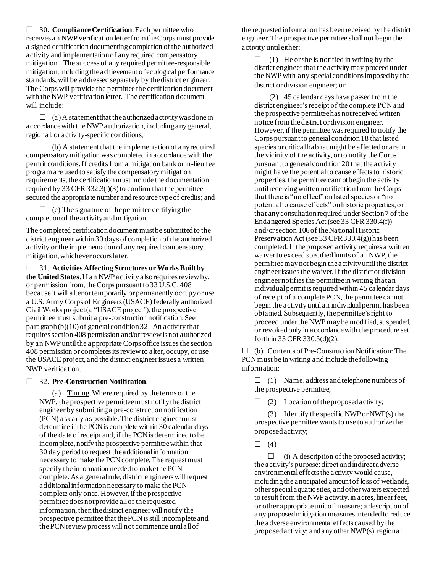30. **Compliance Certification**. Each permittee who receives an NWP verification letter from the Corps must provide a signed certification documenting completion of the authorized activity and implementation of any required compensatory mitigation. The success of any required permittee-responsible mitigation, including the achievement of ecological performance standards, will be addressed separately by the district engineer. The Corps will provide the permittee the certification document with the NWP verification letter. The certification document will include:

 $\Box$  (a) A statement that the authorized activity was done in accordance with the NWP authorization, including any general, regional, or activity-specific conditions;

 $\Box$  (b) A statement that the implementation of any required compensatory mitigation was completed in accordance with the permit conditions. If credits from a mitigation bank or in-lieu fee program are used to satisfy the compensatory mitigation requirements, the certification must include the documentation required by 33 CFR 332.3(l)(3) to confirm that the permittee secured the appropriate number and resource type of credits; and

 $\Box$  (c) The signature of the permittee certifying the completion of the activity and mitigation.

The completed certification document must be submitted to the district engineer within 30 days of completion of the authorized activity or the implementation of any required compensatory mitigation, whichever occurs later.

 31. **Activities Affecting Structures or Works Built by the United States**.If an NWP activity also requires review by, or permission from, the Corps pursuant to 33 U.S.C. 408 because it will alter or temporarily or permanently occupy or use a U.S. Army Corps of Engineers (USACE) federally authorized Civil Works project (a "USACE project"), the prospective permittee must submit a pre-construction notification. See paragraph  $(b)(10)$  of general condition 32. An activity that requires section 408 permission and/or review is not authorized by an NWP until the appropriate Corps office issues the section 408 permission or completes its review to alter, occupy, or use the USACE project, and the district engineer issues a written NWP verification.

#### 32. **Pre-Construction Notification**.

 $\Box$  (a) Timing. Where required by the terms of the NWP, the prospective permittee must notify the district engineer by submitting a pre-construction notification (PCN) as early as possible. The district engineer must determine if the PCN is complete within 30 calendar days of the date of receipt and, if the PCN is determined to be incomplete, notify the prospective permittee within that 30 day period to request the additional information necessary to make the PCN complete. The request must specify the information needed to make the PCN complete. As a general rule, district engineers will request additional information necessary to make the PCN complete only once. However, if the prospective permittee does not provide all of the requested information, then the district engineer will notify the prospective permittee that the PCN is still incomplete and the PCN review process will not commence until all of

the requested information has been received by the district engineer. The prospective permittee shall not begin the activity until either:

 (1) He or she is notified in writing by the district engineer that the activity may proceed under the NWP with any special conditions imposed by the district or division engineer; or

 $\Box$  (2) 45 calendardays have passed from the district engineer's receipt of the complete PCN and the prospective permittee has not received written notice from the district or division engineer. However, if the permittee was required to notify the Corps pursuantto general condition 18 that listed species or critical habitat might be affected or are in the vicinity of the activity, or to notify the Corps pursuant to general condition 20 that the activity might have the potential to cause effects to historic properties, the permittee cannot begin the activity until receiving written notification from the Corps that there is "no effect" on listed species or "no potential to cause effects" on historic properties, or that any consultation required under Section 7 of the Endangered Species Act (see 33 CFR 330.4(f)) and/or section 106 of the National Historic Preservation Act (see 33 CFR 330.4(g)) has been completed. If the proposed activity requires a written waiver to exceed specified limits of an NWP, the permittee may not begin the activity until the district engineer issues the waiver. If the district or division engineer notifies the permittee in writing that an individual permit is required within 45 calendar days of receipt of a complete PCN, the permittee cannot begin the activity until an individual permit has been obtained. Subsequently, the permittee's right to proceed under the NWP may be modified, suspended, or revoked only in accordance with the procedure set forth in 33 CFR 330.5(d)(2).

 $\Box$  (b) Contents of Pre-Construction Notification: The PCN must be in writing and include the following information:

 $\Box$  (1) Name, address and telephone numbers of the prospective permittee;

 $\Box$  (2) Location of the proposed activity;

 $\Box$  (3) Identify the specific NWP or NWP(s) the prospective permittee wants to use to authorize the proposed activity;

 $\Box$  (4)

 (i) A description of the proposed activity; the activity's purpose; direct and indirect adverse environmental effects the activity would cause, including the anticipated amount of loss of wetlands, other special aquatic sites, and other waters expected to result from the NWP activity, in acres, linear feet, or other appropriate unit of measure; a description of any proposed mitigation measures intended to reduce the adverse environmental effects caused by the proposed activity; and any other NWP(s), regional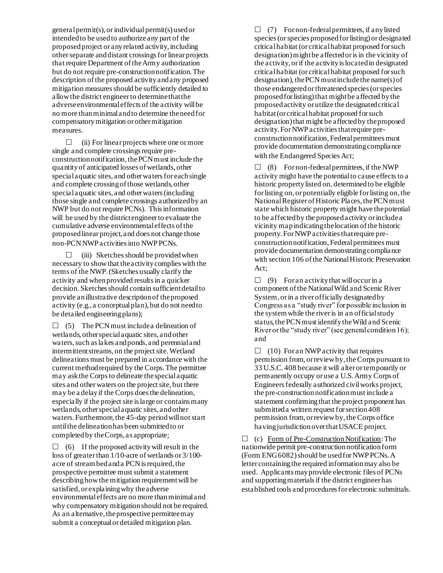general permit(s), or individual permit(s) used or intended to be used to authorize any part of the proposed project or any related activity, including other separate and distant crossings for linear projects that require Department of the Army authorization but do not require pre-construction notification. The description of the proposed activity and any proposed mitigation measures should be sufficiently detailed to allow the district engineer to determine that the adverse environmental effects of the activity will be no more than minimal and to determine the need for compensatory mitigation or other mitigation measures.

 $\Box$  (ii) For linear projects where one or more single and complete crossings require preconstruction notification, the PCN must include the quantity of anticipated losses of wetlands, other special aquatic sites, and other waters for each single and complete crossing of those wetlands, other special aquatic sites, and other waters (including those single and complete crossings authorized by an NWP but do not require PCNs). This information will be used by the district engineer to evaluate the cumulative adverse environmental effects of the proposed linear project, and does not change those non-PCN NWP activities into NWP PCNs.

 $\Box$  (iii) Sketches should be provided when necessary to show that the activity complies with the terms of the NWP. (Sketches usually clarify the activity and when provided results in a quicker decision. Sketches should contain sufficient detail to provide an illustrative description of the proposed activity (e.g., a conceptual plan), but do not need to be detailed engineering plans);

 $\Box$  (5) The PCN must include a delineation of wetlands, other special aquatic sites, and other waters, such as lakes and ponds, and perennial and intermittent streams, on the project site. Wetland delineations must be prepared in accordance with the current method required by the Corps. The permittee may ask the Corps to delineate the special aquatic sites and other waters on the project site, but there may be a delay if the Corps does the delineation, especially if the project site is large or contains many wetlands, other special aquatic sites, and other waters. Furthermore, the 45-day period will not start until the delineation has been submitted to or completed by the Corps, as appropriate;

 $\Box$  (6) If the proposed activity will result in the loss of greater than 1/10-acre of wetlands or 3/100 acre of stream bed and a PCN is required, the prospective permittee must submit a statement describing how the mitigation requirement will be satisfied, or explaining why the adverse environmental effects are no more than minimal and why compensatory mitigation should not be required. As an alternative, the prospective permittee may submit a conceptual or detailed mitigation plan.

 $\Box$  (7) For non-federal permittees, if any listed species (or species proposed for listing) or designated critical habitat (or critical habitat proposed for such designation) might be affected or is in the vicinity of the activity, or if the activity is located in designated critical habitat (or critical habitat proposed for such designation), the PCN must include the name(s) of those endangered or threatened species (or species proposed for listing) that might be affected by the proposed activity or utilize the designated critical habitat (or critical habitat proposed for such designation) that might be affected by the proposed activity. For NWP activities that require preconstruction notification, Federal permittees must provide documentation demonstrating compliance with the Endangered Species Act;

 $\Box$  (8) For non-federal permittees, if the NWP activity might have the potential to cause effects to a historic property listed on, determined to be eligible for listing on, or potentially eligible for listing on, the National Register of Historic Places, the PCN must state which historic property might have the potential to be affected by the proposed activity or include a vicinity map indicating the location of the historic property. For NWP activities that require preconstruction notification, Federal permittees must provide documentation demonstrating compliance with section 106 of the National Historic Preservation Act;

 $\Box$  (9) For an activity that will occur in a component of the National Wild and Scenic River System, or in a river officially designated by Congress as a "study river" for possible inclusion in the system while the river is in an official study status, the PCN must identify the Wild and Scenic River or the "study river" (see general condition 16); and

 $\Box$  (10) For an NWP activity that requires permission from, or review by, the Corps pursuant to 33 U.S.C. 408 because it will alter or temporarily or permanently occupy or use a U.S. Army Corps of Engineers federally authorized civil works project, the pre-construction notification must include a statement confirming that the project proponent has submitted a written request for section 408 permission from, or review by, the Corps office having jurisdiction over that USACE project.

 $\Box$  (c) Form of Pre-Construction Notification: The nationwide permit pre-construction notification form (Form ENG 6082) should be used for NWP PCNs. A letter containing the required information may also be used. Applicants may provide electronic files of PCNs and supporting materials if the district engineer has established tools and procedures for electronic submittals.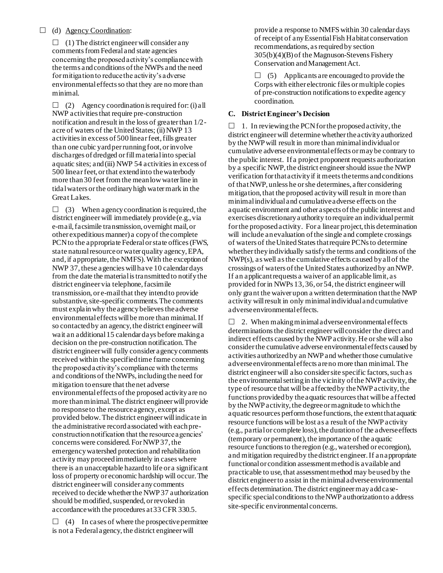#### $\Box$  (d) <u>Agency Coordination</u>:

 $\Box$  (1) The district engineer will consider any comments from Federal and state agencies concerning the proposed activity's compliance with the terms and conditions of the NWPs and the need for mitigation to reduce the activity's adverse environmental effects so that they are no more than minimal.

 $\Box$  (2) Agency coordination is required for: (i) all NWP activities that require pre-construction notification and result in the loss of greater than 1/2 acre of waters of the United States; (ii) NWP 13 activities in excess of 500 linear feet, fills greater than one cubic yard per running foot, or involve discharges of dredged or fill material into special aquatic sites; and (iii) NWP 54 activities in excess of 500 linear feet, or that extend into the waterbody more than 30 feet from the mean low water line in tidal waters or the ordinary high water mark in the Great Lakes.

 $\Box$  (3) When a gency coordination is required, the district engineer will immediately provide (e.g., via e-mail, facsimile transmission, overnight mail, or other expeditious manner) a copy of the complete PCN to the appropriate Federal or state offices (FWS, state natural resource or water quality agency, EPA, and, if appropriate, the NMFS). With the exception of NWP 37, these agencies will have 10 calendar days from the date the material is transmitted to notify the district engineer via telephone, facsimile transmission, or e-mail that they intend to provide substantive, site-specific comments. The comments must explain why the agency believes the adverse environmental effects will be more than minimal. If so contacted by an agency, the district engineer will wait an additional 15 calendar days before making a decision on the pre-construction notification. The district engineer will fully consider agency comments received within the specified time frame concerning the proposed activity's compliance with the terms and conditions of the NWPs, including the need for mitigation to ensure that the net adverse environmental effects of the proposed activity are no more than minimal. The district engineer will provide no response to the resource agency, except as provided below. The district engineer will indicate in the administrative record associated with each preconstruction notification that the resource agencies' concerns were considered. For NWP 37, the emergency watershed protection and rehabilitation activity may proceed immediately in cases where there is an unacceptable hazard to life or a significant loss of property or economic hardship will occur. The district engineer will consider any comments received to decide whether the NWP 37 authorization should be modified, suspended, or revoked in accordance with the procedures at 33 CFR 330.5.

 $\Box$  (4) In cases of where the prospective permittee is not a Federal agency, the district engineer will

provide a response to NMFS within 30 calendar days of receipt of any Essential Fish Habitat conservation recommendations, as required by section 305(b)(4)(B) of the Magnuson-Stevens Fishery Conservation and Management Act.

 $\Box$  (5) Applicants are encouraged to provide the Corps with either electronic files or multiple copies of pre-construction notifications to expedite agency coordination.

#### **C. District Engineer's Decision**

 $\Box$  1. In reviewing the PCN for the proposed activity, the district engineer will determine whether the activity authorized by the NWP will result in more than minimal individual or cumulative adverse environmental effects or may be contrary to the public interest. If a project proponent requests authorization by a specific NWP, the district engineer should issue the NWP verification for that activity if it meets the terms and conditions of that NWP, unless he or she determines, after considering mitigation, that the proposed activity will result in more than minimal individual and cumulative adverse effects on the aquatic environment and other aspects of the public interest and exercises discretionary authority to require an individual permit for the proposed activity. For a linear project, this determination will include an evaluation of the single and complete crossings of waters of the United States that require PCNs to determine whether they individually satisfy the terms and conditions of the NWP(s), as well as the cumulative effects caused by all of the crossings of waters of the United States authorized by an NWP. If an applicant requests a waiver of an applicable limit, as provided for in NWPs 13, 36, or 54, the district engineer will only grant the waiver upon a written determination that the NWP activity will result in only minimal individual and cumulative adverse environmental effects.

 $\Box$  2. When making minimal adverse environmental effects determinations the district engineer will consider the direct and indirect effects caused by the NWP activity. He or she will also consider the cumulative adverse environmental effects caused by activities authorized by an NWP and whether those cumulative adverse environmental effects are no more than minimal. The district engineer will also consider site specific factors, such as the environmental setting in the vicinity of the NWP activity, the type of resource that will be affected by the NWP activity, the functions provided by the aquatic resources that will be affected by the NWP activity, the degree or magnitude to which the aquatic resources perform those functions, the extent that aquatic resource functions will be lost as a result of the NWP activity (e.g., partial or complete loss), the duration of the adverse effects (temporary or permanent), the importance of the aquatic resource functions to the region (e.g., watershed or ecoregion), and mitigation required by the district engineer. If an appropriate functional or condition assessment method is available and practicable to use, that assessment method may be used by the district engineer to assist in the minimal adverse environmental effects determination. The district engineer may add casespecific special conditions to the NWP authorization to a ddress site-specific environmental concerns.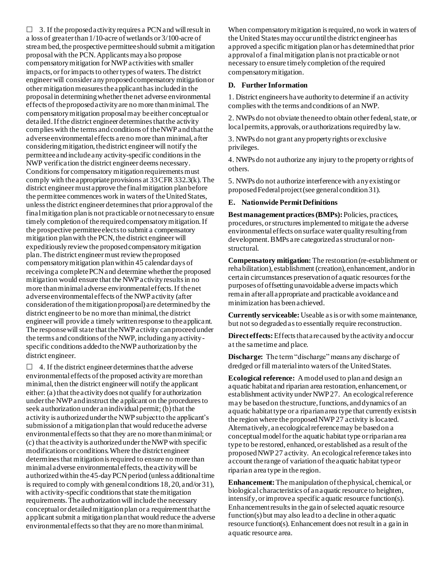$\Box$  3. If the proposed activity requires a PCN and will result in a loss of greater than 1/10-acre of wetlands or 3/100-acre of stream bed, the prospective permittee should submit a mitigation proposal with the PCN. Applicants may also propose compensatory mitigation for NWP activities with smaller impacts, or for impacts to other types of waters. The district engineer will consider any proposed compensatory mitigation or other mitigation measures the applicant has included in the proposal in determining whether the net adverse environmental effects of the proposed activity are no more than minimal. The compensatory mitigation proposal may be either conceptual or detailed. If the district engineer determines that the activity complies with the terms and conditions of the NWP and that the adverse environmental effects are no more than minimal, after considering mitigation, the district engineer will notify the permittee and include any activity-specific conditions in the NWP verification the district engineer deems necessary. Conditions for compensatory mitigation requirements must comply with the appropriate provisions at 33 CFR 332.3(k). The district engineer must approve the final mitigation plan before the permittee commences work in waters of the United States, unless the district engineer determines that prior approval of the final mitigation plan is not practicable or not necessary to ensure timely completion of the required compensatory mitigation. If the prospective permittee elects to submit a compensatory mitigation plan with the PCN, the district engineer will expeditiously review the proposed compensatory mitigation plan. The district engineer must review the proposed compensatory mitigation plan within 45 calendar days of receiving a complete PCN and determine whether the proposed mitigation would ensure that the NWP activity results in no more than minimal adverse environmental effects. If the net adverse environmental effects of the NWP activity (after consideration of the mitigation proposal) are determined by the district engineer to be no more than minimal, the district engineer will provide a timely written response to the applicant. The response will state that the NWP activity can proceed under the terms and conditions of the NWP, including any activityspecific conditions added to the NWP authorization by the district engineer.

 $\Box$  4. If the district engineer determines that the adverse environmental effects of the proposed activity are more than minimal, then the district engineer will notify the applicant either: (a) that the activity does not qualify for authorization under the NWP and instruct the applicant on the procedures to seek authorization under an individual permit; (b) that the activity is authorized under the NWP subject to the applicant's submission of a mitigation plan that would reduce the adverse environmental effects so that they are no more than minimal; or (c) that the activity is authorized under the NWP with specific modifications or conditions. Where the district engineer determines that mitigation is required to ensure no more than minimal adverse environmental effects, the activity will be authorized within the 45-day PCN period (unless additional time is required to comply with general conditions 18, 20, and/or 31), with activity-specific conditions that state the mitigation requirements. The authorization will include the necessary conceptual or detailed mitigation plan or a requirement that the applicant submit a mitigation plan that would reduce the adverse environmental effects so that they are no more than minimal.

When compensatory mitigation is required, no work in waters of the United States may occur until the district engineer has approved a specific mitigation plan or has determined that prior approval of a final mitigation plan is not practicable or not necessary to ensure timely completion of the required compensatory mitigation.

#### **D. Further Information**

1. District engineers have authority to determine if an activity complies with the terms and conditions of an NWP.

2. NWPs do not obviate the need to obtain other federal, state, or local permits, approvals, or authorizations required by law.

3. NWPs do not grant any property rights or exclusive privileges.

4. NWPs do not authorize any injury to the property or rights of others.

5. NWPs do not authorize interference with any existing or proposed Federal project (see general condition 31).

#### **E. Nationwide Permit Definitions**

**Best management practices (BMPs):**Policies, practices, procedures, or structures implemented to mitigate the adverse environmental effects on surface water quality resulting from development. BMPs are categorized as structural or nonstructural.

**Compensatory mitigation:** The restoration (re-establishment or rehabilitation), establishment (creation), enhancement, and/or in certain circumstances preservation of aquatic resources for the purposes of offsetting unavoidable adverse impacts which remain after all appropriate and practicable avoidance and minimization has been achieved.

**Currently serviceable:** Useable as is or with some maintenance, but not so degraded as to essentially require reconstruction.

**Direct effects:**Effects that are caused by the activity and occur at the same time and place.

**Discharge:** The term "discharge" means any discharge of dredged or fill material into waters of the United States.

**Ecological reference:** A model used to plan and design an aquatic habitat and riparian area restoration, enhancement, or establishment activity under NWP 27. An ecological reference may be based on the structure, functions, and dynamics of an aquatic habitat type or a riparian area type that currently exists in the region where the proposed NWP 27 activity is located. Alternatively, an ecological reference may be based on a conceptual model for the aquatic habitat type or riparian area type to be restored, enhanced, or established as a result of the proposed NWP 27 activity. An ecological reference takes into account the range of variation of the aquatic habitat type or riparian area type in the region.

**Enhancement:** The manipulation of the physical, chemical, or biological characteristics of an aquatic resource to heighten, intensify, or improve a specific aquatic resource function(s). Enhancement results in the gain of selected aquatic resource function(s) but may also lead to a decline in other aquatic resource function(s). Enhancement does not result in a gain in aquatic resource area.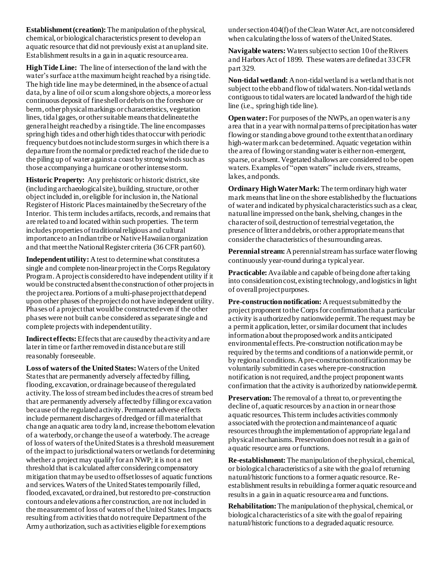**Establishment (creation):** The manipulation of the physical, chemical, or biological characteristics present to develop an aquatic resource that did not previously exist at an upland site. Establishment results in a gain in aquatic resource area.

**High Tide Line:** The line of intersection of the land with the water's surface at the maximum height reached by a rising tide. The high tide line may be determined, in the absence of actual data, by a line of oil or scum along shore objects, a more or less continuous deposit of fine shell or debris on the foreshore or berm, other physical markings or characteristics, vegetation lines, tidal gages, or other suitable means that delineate the general height reached by a rising tide. The line encompasses spring high tides and other high tides that occur with periodic frequency but does not include storm surges in which there is a departure from the normal or predicted reach of the tide due to the piling up of water against a coast by strong winds such as those accompanying a hurricane or other intense storm.

**Historic Property:** Any prehistoric or historic district, site (including archaeological site), building, structure, or other object included in, or eligible for inclusion in, the National Register of Historic Places maintained by the Secretary of the Interior. This term includes artifacts, records, and remains that are related to and located within such properties. The term includes properties of traditional religious and cultural importance to an Indian tribe or Native Hawaiian organization and that meet the National Register criteria (36 CFR part 60).

**Independent utility:** A test to determine what constitutes a single and complete non-linear project in the Corps Regulatory Program. A project is considered to have independent utility if it would be constructed absent the construction of other projects in the project area. Portions of a multi-phase project that depend upon other phases of the project do not have independent utility. Phases of a project that would be constructed even if the other phases were not built can be considered as separate single and complete projects with independent utility.

**Indirect effects:** Effects that are caused by the activity and are later in time or farther removed in distance but are still reasonably foreseeable.

**Loss of waters of the United States:** Waters of the United States that are permanently adversely affected by filling, flooding, excavation, or drainage because of the regulated activity. The loss of stream bed includes the acres of stream bed that are permanently adversely affected by filling or excavation because of the regulated activity. Permanent adverse effects include permanent discharges of dredged or fill material that change an aquatic area to dry land, increase the bottom elevation of a waterbody, or change the use of a waterbody. The acreage of loss of waters of the United States is a threshold measurement of the impact to jurisdictional waters or wetlands for determining whether a project may qualify for an NWP; it is not a net threshold that is calculated after considering compensatory mitigation that may be used to offset losses of aquatic functions and services. Waters of the United States temporarily filled, flooded, excavated, or drained, but restored to pre-construction contours and elevations after construction, are not included in the measurement of loss of waters of the United States. Impacts resulting from activities that do not require Department of the Army authorization, such as activities eligible for exemptions

under section 404(f) of the Clean Water Act, are not considered when calculating the loss of waters of the United States.

**Navigable waters:** Waters subject to section 10 of the Rivers and Harbors Act of 1899. These waters are defined at 33 CFR part 329.

**Non-tidal wetland:** A non-tidal wetland is a wetland that is not subject to the ebb and flow of tidal waters. Non-tidal wetlands contiguous to tidal waters are located landward of the high tide line (i.e., spring high tide line).

**Open water:** For purposes of the NWPs, an open water is any area that in a year with normal patterns of precipitation has water flowing or standing above ground to the extent that an ordinary high-water mark can be determined. Aquatic vegetation within the area of flowing or standing water is either non-emergent, sparse, or absent. Vegetated shallows are considered to be open waters. Examples of "open waters" include rivers, streams, lakes, and ponds.

**Ordinary High Water Mark:** The term ordinary high water mark means that line on the shore established by the fluctuations of water and indicated by physical characteristics such as a clear, natural line impressed on the bank, shelving, changes in the character of soil, destruction of terrestrial vegetation, the presence of litter and debris, or other appropriate means that consider the characteristics of the surrounding areas.

**Perennial stream:** A perennial stream has surface water flowing continuously year-round during a typical year.

**Practicable:** Available and capable of being done after taking into consideration cost, existing technology, and logistics in light of overall project purposes.

**Pre-construction notification:** A request submitted by the project proponent to the Corps for confirmation that a particular activity is authorized by nationwide permit. The request may be a permit application, letter, or similar document that includes information about the proposed work and its anticipated environmental effects. Pre-construction notification may be required by the terms and conditions of a nationwide permit, or by regional conditions. A pre-construction notification may be voluntarily submitted in cases where pre-construction notification is not required, and the project proponent wants confirmation that the activity is authorized by nationwide permit.

**Preservation:** The removal of a threat to, or preventing the decline of, aquatic resources by an action in or near those aquatic resources. This term includes activities commonly associated with the protection and maintenance of aquatic resources through the implementation of appropriate legal and physical mechanisms. Preservation does not result in a gain of aquatic resource area or functions.

**Re-establishment:** The manipulation of the physical, chemical, or biological characteristics of a site with the goal of returning natural/historic functions to a former aquatic resource. Reestablishment results in rebuilding a former aquatic resource and results in a gain in aquatic resource area and functions.

**Rehabilitation:** The manipulation of the physical, chemical, or biological characteristics of a site with the goal of repairing natural/historic functions to a degraded aquatic resource.